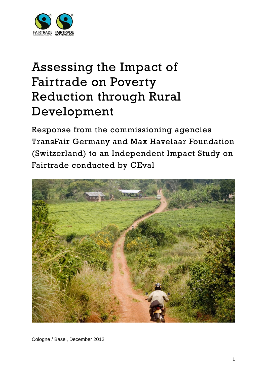

# Assessing the Impact of Fairtrade on Poverty Reduction through Rural Development

Response from the commissioning agencies TransFair Germany and Max Havelaar Foundation (Switzerland) to an Independent Impact Study on Fairtrade conducted by CEval



Cologne / Basel, December 2012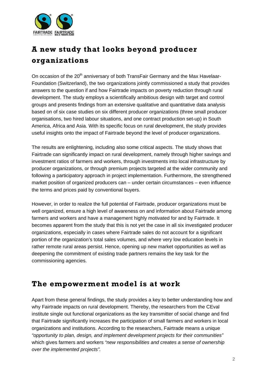

## **A new study that looks beyond producer organizations**

On occasion of the 20<sup>th</sup> anniversary of both TransFair Germany and the Max Havelaar-Foundation (Switzerland), the two organizations jointly commissioned a study that provides answers to the question if and how Fairtrade impacts on poverty reduction through rural development. The study employs a scientifically ambitious design with target and control groups and presents findings from an extensive qualitative and quantitative data analysis based on of six case studies on six different producer organizations (three small producer organisations, two hired labour situations, and one contract production set-up) in South America, Africa and Asia. With its specific focus on rural development, the study provides useful insights onto the impact of Fairtrade beyond the level of producer organizations.

The results are enlightening, including also some critical aspects. The study shows that Fairtrade can significantly impact on rural development, namely through higher savings and investment ratios of farmers and workers, through investments into local infrastructure by producer organizations, or through premium projects targeted at the wider community and following a participatory approach in project implementation. Furthermore, the strengthened market position of organized producers can – under certain circumstances – even influence the terms and prices paid by conventional buyers.

However, in order to realize the full potential of Fairtrade, producer organizations must be well organized, ensure a high level of awareness on and information about Fairtrade among farmers and workers and have a management highly motivated for and by Fairtrade. It becomes apparent from the study that this is not yet the case in all six investigated producer organizations, especially in cases where Fairtrade sales do not account for a significant portion of the organization's total sales volumes, and where very low education levels in rather remote rural areas persist. Hence, opening up new market opportunities as well as deepening the commitment of existing trade partners remains the key task for the commissioning agencies.

### **The empowerment model is at work**

Apart from these general findings, the study provides a key to better understanding how and why Fairtrade impacts on rural development. Thereby, the researchers from the CEval institute single out functional organizations as the key transmitter of social change and find that Fairtrade significantly increases the participation of small farmers and workers in local organizations and institutions. According to the researchers, Fairtrade means a unique *"opportunity to plan, design, and implement development projects for their communities"* which gives farmers and workers *"new responsibilities and creates a sense of ownership over the implemented projects".*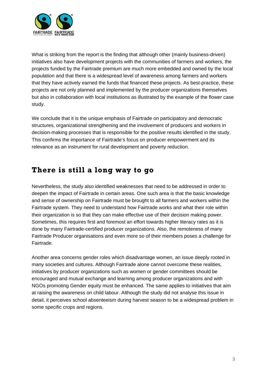

What is striking from the report is the finding that although other (mainly business-driven) initiatives also have development projects with the communities of farmers and workers, the projects funded by the Fairtrade premium are much more embedded and owned by the local population and that there is a widespread level of awareness among farmers and workers that they have actively earned the funds that financed these projects. As best-practice, these projects are not only planned and implemented by the producer organizations themselves but also in collaboration with local institutions as illustrated by the example of the flower case study.

We conclude that it is the unique emphasis of Fairtrade on participatory and democratic structures, organizational strengthening and the involvement of producers and workers in decision-making processes that is responsible for the positive results identified in the study. This confirms the importance of Fairtrade's focus on producer empowerment and its relevance as an instrument for rural development and poverty reduction.

### **There is still a long way to go**

Nevertheless, the study also identified weaknesses that need to be addressed in order to deepen the impact of Fairtrade in certain areas. One such area is that the basic knowledge and sense of ownership on Fairtrade must be brought to all farmers and workers within the Fairtrade system. They need to understand how Fairtrade works and what their role within their organization is so that they can make effective use of their decision making power. Sometimes, this requires first and foremost an effort towards higher literacy rates as it is done by many Fairtrade-certified producer organizations. Also, the remoteness of many Fairtrade Producer organisations and even more so of their members poses a challenge for Fairtrade.

Another area concerns gender roles which disadvantage women, an issue deeply rooted in many societies and cultures. Although Fairtrade alone cannot overcome these realities, initiatives by producer organizations such as women or gender committees should be encouraged and mutual exchange and learning among producer organizations and with NGOs promoting Gender equity must be enhanced. The same applies to initiatives that aim at raising the awareness on child labour. Although the study did not analyse this issue in detail, it perceives school absenteeism during harvest season to be a widespread problem in some specific crops and regions.